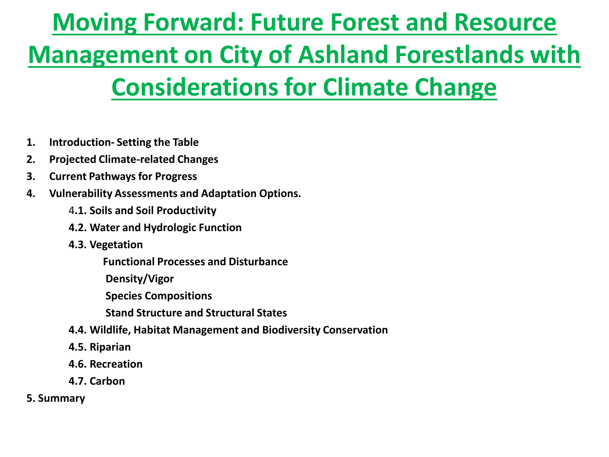# **Moving Forward: Future Forest and Resource Management on City of Ashland Forestlands with Considerations for Climate Change**

- **1. Introduction- Setting the Table**
- **2. Projected Climate-related Changes**
- **3. Current Pathways for Progress**
- **4. Vulnerability Assessments and Adaptation Options.**
	- 4**.1. Soils and Soil Productivity**
	- **4.2. Water and Hydrologic Function**
	- **4.3. Vegetation**

 **Functional Processes and Disturbance** 

 **Density/Vigor**

 **Species Compositions**

 **Stand Structure and Structural States** 

- **4.4. Wildlife, Habitat Management and Biodiversity Conservation**
- **4.5. Riparian**
- **4.6. Recreation**
- **4.7. Carbon**
- **5. Summary**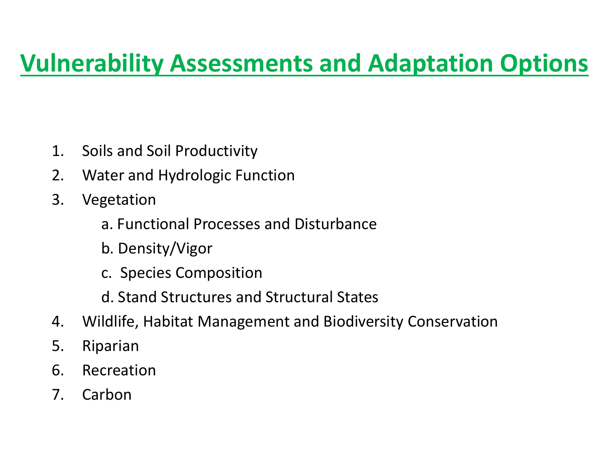# **Vulnerability Assessments and Adaptation Options**

- 1. Soils and Soil Productivity
- 2. Water and Hydrologic Function
- 3. Vegetation
	- a. Functional Processes and Disturbance
	- b. Density/Vigor
	- c. Species Composition
	- d. Stand Structures and Structural States
- 4. Wildlife, Habitat Management and Biodiversity Conservation
- 5. Riparian
- 6. Recreation
- 7. Carbon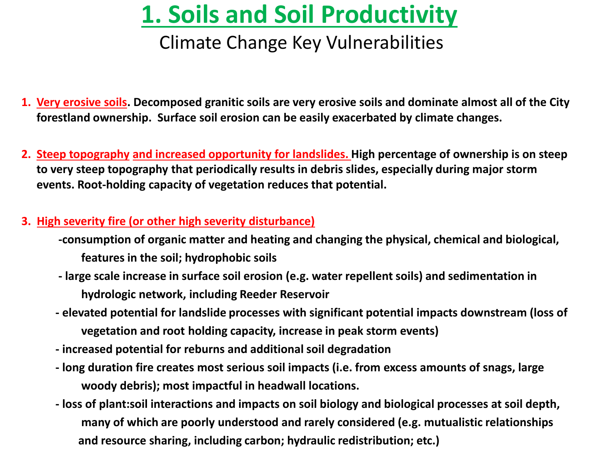# **1. Soils and Soil Productivity**

### Climate Change Key Vulnerabilities

- **1. Very erosive soils. Decomposed granitic soils are very erosive soils and dominate almost all of the City forestland ownership. Surface soil erosion can be easily exacerbated by climate changes.**
- **2. Steep topography and increased opportunity for landslides. High percentage of ownership is on steep to very steep topography that periodically results in debris slides, especially during major storm events. Root-holding capacity of vegetation reduces that potential.**

#### **3. High severity fire (or other high severity disturbance)**

- **-consumption of organic matter and heating and changing the physical, chemical and biological, features in the soil; hydrophobic soils**
- **- large scale increase in surface soil erosion (e.g. water repellent soils) and sedimentation in hydrologic network, including Reeder Reservoir**
- **- elevated potential for landslide processes with significant potential impacts downstream (loss of vegetation and root holding capacity, increase in peak storm events)**
- **- increased potential for reburns and additional soil degradation**
- **- long duration fire creates most serious soil impacts (i.e. from excess amounts of snags, large woody debris); most impactful in headwall locations.**
- **- loss of plant:soil interactions and impacts on soil biology and biological processes at soil depth, many of which are poorly understood and rarely considered (e.g. mutualistic relationships and resource sharing, including carbon; hydraulic redistribution; etc.)**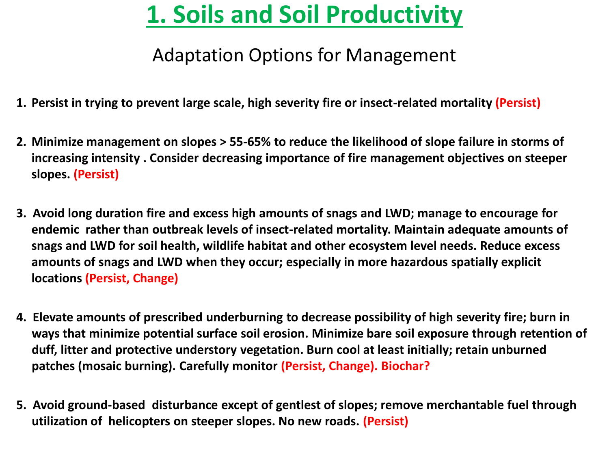# **1. Soils and Soil Productivity**

### Adaptation Options for Management

- **1. Persist in trying to prevent large scale, high severity fire or insect-related mortality (Persist)**
- **2. Minimize management on slopes > 55-65% to reduce the likelihood of slope failure in storms of increasing intensity . Consider decreasing importance of fire management objectives on steeper slopes. (Persist)**
- **3. Avoid long duration fire and excess high amounts of snags and LWD; manage to encourage for endemic rather than outbreak levels of insect-related mortality. Maintain adequate amounts of snags and LWD for soil health, wildlife habitat and other ecosystem level needs. Reduce excess amounts of snags and LWD when they occur; especially in more hazardous spatially explicit locations (Persist, Change)**
- **4. Elevate amounts of prescribed underburning to decrease possibility of high severity fire; burn in ways that minimize potential surface soil erosion. Minimize bare soil exposure through retention of duff, litter and protective understory vegetation. Burn cool at least initially; retain unburned patches (mosaic burning). Carefully monitor (Persist, Change). Biochar?**
- **5. Avoid ground-based disturbance except of gentlest of slopes; remove merchantable fuel through utilization of helicopters on steeper slopes. No new roads. (Persist)**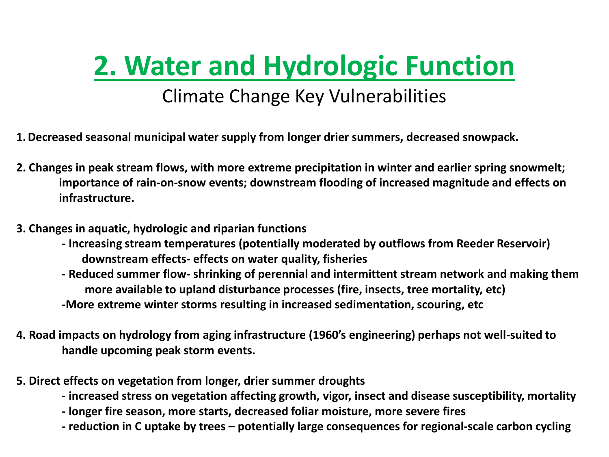# **2. Water and Hydrologic Function**

### Climate Change Key Vulnerabilities

- **1.Decreased seasonal municipal water supply from longer drier summers, decreased snowpack.**
- **2. Changes in peak stream flows, with more extreme precipitation in winter and earlier spring snowmelt; importance of rain-on-snow events; downstream flooding of increased magnitude and effects on infrastructure.**
- **3. Changes in aquatic, hydrologic and riparian functions**
	- **- Increasing stream temperatures (potentially moderated by outflows from Reeder Reservoir) downstream effects- effects on water quality, fisheries**
	- **- Reduced summer flow- shrinking of perennial and intermittent stream network and making them more available to upland disturbance processes (fire, insects, tree mortality, etc) -More extreme winter storms resulting in increased sedimentation, scouring, etc**
- **4. Road impacts on hydrology from aging infrastructure (1960's engineering) perhaps not well-suited to handle upcoming peak storm events.**
- **5. Direct effects on vegetation from longer, drier summer droughts**
	- **- increased stress on vegetation affecting growth, vigor, insect and disease susceptibility, mortality**
	- **- longer fire season, more starts, decreased foliar moisture, more severe fires**
	- **- reduction in C uptake by trees – potentially large consequences for regional-scale carbon cycling**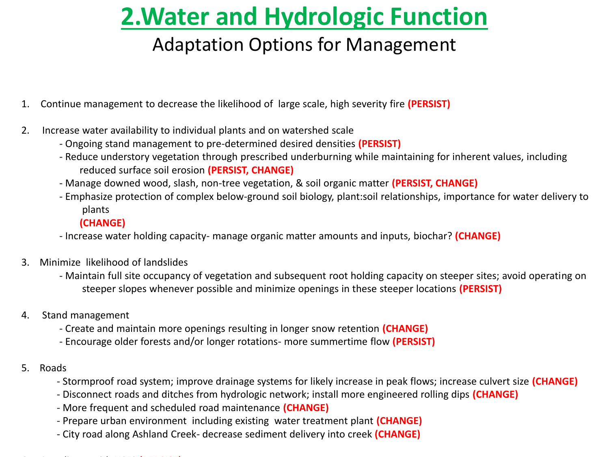# **2.Water and Hydrologic Function**

### Adaptation Options for Management

- 1. Continue management to decrease the likelihood of large scale, high severity fire **(PERSIST)**
- 2. Increase water availability to individual plants and on watershed scale
	- Ongoing stand management to pre-determined desired densities **(PERSIST)**
	- Reduce understory vegetation through prescribed underburning while maintaining for inherent values, including reduced surface soil erosion **(PERSIST, CHANGE)**
	- Manage downed wood, slash, non-tree vegetation, & soil organic matter **(PERSIST, CHANGE)**
	- Emphasize protection of complex below-ground soil biology, plant:soil relationships, importance for water delivery to plants
		- **(CHANGE)**
	- Increase water holding capacity- manage organic matter amounts and inputs, biochar? **(CHANGE)**
- 3. Minimize likelihood of landslides
	- Maintain full site occupancy of vegetation and subsequent root holding capacity on steeper sites; avoid operating on steeper slopes whenever possible and minimize openings in these steeper locations **(PERSIST)**
- 4. Stand management
	- Create and maintain more openings resulting in longer snow retention **(CHANGE)**
	- Encourage older forests and/or longer rotations- more summertime flow **(PERSIST)**
- 5. Roads
	- Stormproof road system; improve drainage systems for likely increase in peak flows; increase culvert size **(CHANGE)**
	- Disconnect roads and ditches from hydrologic network; install more engineered rolling dips **(CHANGE)**
	- More frequent and scheduled road maintenance **(CHANGE)**
	- Prepare urban environment including existing water treatment plant **(CHANGE)**
	- City road along Ashland Creek- decrease sediment delivery into creek **(CHANGE)**

#### 6**.** Coordinate with USFS **(PERSIST)**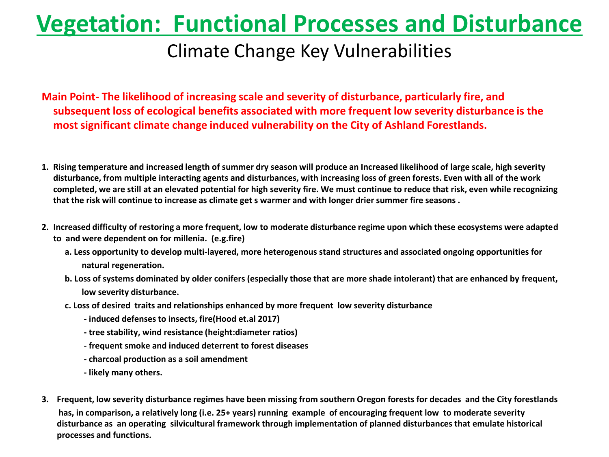### Climate Change Key Vulnerabilities

**Main Point- The likelihood of increasing scale and severity of disturbance, particularly fire, and subsequent loss of ecological benefits associated with more frequent low severity disturbance is the most significant climate change induced vulnerability on the City of Ashland Forestlands.**

- **1. Rising temperature and increased length of summer dry season will produce an Increased likelihood of large scale, high severity disturbance, from multiple interacting agents and disturbances, with increasing loss of green forests. Even with all of the work completed, we are still at an elevated potential for high severity fire. We must continue to reduce that risk, even while recognizing that the risk will continue to increase as climate get s warmer and with longer drier summer fire seasons .**
- **2. Increased difficulty of restoring a more frequent, low to moderate disturbance regime upon which these ecosystems were adapted to and were dependent on for millenia. (e.g.fire)**
	- **a. Less opportunity to develop multi-layered, more heterogenous stand structures and associated ongoing opportunities for natural regeneration.**
	- **b. Loss of systems dominated by older conifers (especially those that are more shade intolerant) that are enhanced by frequent, low severity disturbance.**
	- **c. Loss of desired traits and relationships enhanced by more frequent low severity disturbance** 
		- **- induced defenses to insects, fire(Hood et.al 2017)**
		- **- tree stability, wind resistance (height:diameter ratios)**
		- **- frequent smoke and induced deterrent to forest diseases**
		- **- charcoal production as a soil amendment**
		- **- likely many others.**
- **3. Frequent, low severity disturbance regimes have been missing from southern Oregon forests for decades and the City forestlands has, in comparison, a relatively long (i.e. 25+ years) running example of encouraging frequent low to moderate severity disturbance as an operating silvicultural framework through implementation of planned disturbances that emulate historical processes and functions.**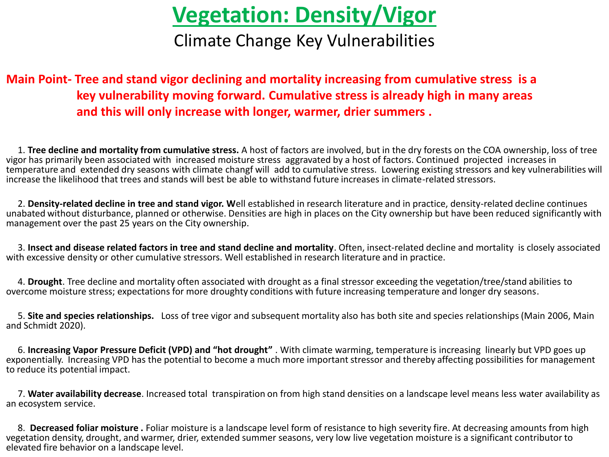## **Vegetation: Density/Vigor**

Climate Change Key Vulnerabilities

#### **Main Point- Tree and stand vigor declining and mortality increasing from cumulative stress is a key vulnerability moving forward. Cumulative stress is already high in many areas and this will only increase with longer, warmer, drier summers .**

 1. **Tree decline and mortality from cumulative stress.** A host of factors are involved, but in the dry forests on the COA ownership, loss of tree vigor has primarily been associated with increased moisture stress aggravated by a host of factors. Continued projected increases in temperature and extended dry seasons with climate changf will add to cumulative stress. Lowering existing stressors and key vulnerabilities will increase the likelihood that trees and stands will best be able to withstand future increases in climate-related stressors.

 2. **Density-related decline in tree and stand vigor. W**ell established in research literature and in practice, density-related decline continues unabated without disturbance, planned or otherwise. Densities are high in places on the City ownership but have been reduced significantly with management over the past 25 years on the City ownership.

 3. **Insect and disease related factors in tree and stand decline and mortality**. Often, insect-related decline and mortality is closely associated with excessive density or other cumulative stressors. Well established in research literature and in practice.

 4. **Drought**. Tree decline and mortality often associated with drought as a final stressor exceeding the vegetation/tree/stand abilities to overcome moisture stress; expectations for more droughty conditions with future increasing temperature and longer dry seasons.

 5. **Site and species relationships.** Loss of tree vigor and subsequent mortality also has both site and species relationships (Main 2006, Main and Schmidt 2020).

 6. **Increasing Vapor Pressure Deficit (VPD) and "hot drought"** . With climate warming, temperature is increasing linearly but VPD goes up exponentially. Increasing VPD has the potential to become a much more important stressor and thereby affecting possibilities for management to reduce its potential impact.

 7. **Water availability decrease**. Increased total transpiration on from high stand densities on a landscape level means less water availability as an ecosystem service.

 8. **Decreased foliar moisture .** Foliar moisture is a landscape level form of resistance to high severity fire. At decreasing amounts from high vegetation density, drought, and warmer, drier, extended summer seasons, very low live vegetation moisture is a significant contributor to elevated fire behavior on a landscape level.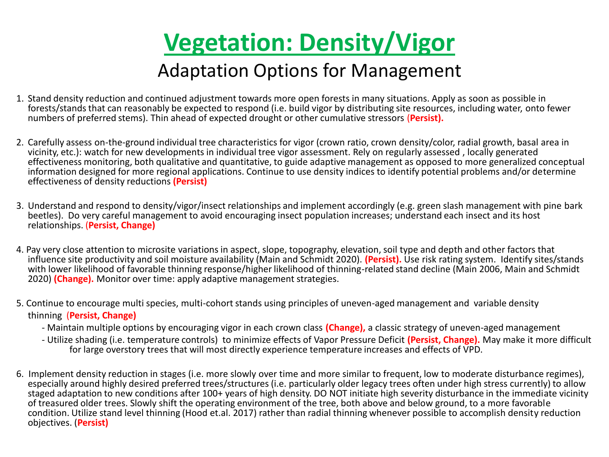

### Adaptation Options for Management

- 1. Stand density reduction and continued adjustment towards more open forests in many situations. Apply as soon as possible in forests/stands that can reasonably be expected to respond (i.e. build vigor by distributing site resources, including water, onto fewer numbers of preferred stems). Thin ahead of expected drought or other cumulative stressors (**Persist).**
- 2. Carefully assess on-the-ground individual tree characteristics for vigor (crown ratio, crown density/color, radial growth, basal area in vicinity, etc.): watch for new developments in individual tree vigor assessment. Rely on regularly assessed , locally generated effectiveness monitoring, both qualitative and quantitative, to guide adaptive management as opposed to more generalized conceptual information designed for more regional applications. Continue to use density indices to identify potential problems and/or determine effectiveness of density reductions **(Persist)**
- 3. Understand and respond to density/vigor/insect relationships and implement accordingly (e.g. green slash management with pine bark beetles). Do very careful management to avoid encouraging insect population increases; understand each insect and its host relationships. (**Persist, Change)**
- 4. Pay very close attention to microsite variations in aspect, slope, topography, elevation, soil type and depth and other factors that influence site productivity and soil moisture availability (Main and Schmidt 2020). **(Persist).** Use risk rating system. Identify sites/stands with lower likelihood of favorable thinning response/higher likelihood of thinning-related stand decline (Main 2006, Main and Schmidt 2020) **(Change).** Monitor over time: apply adaptive management strategies.
- 5. Continue to encourage multi species, multi-cohort stands using principles of uneven-aged management and variable density thinning (**Persist, Change)**
	- Maintain multiple options by encouraging vigor in each crown class **(Change),** a classic strategy of uneven-aged management
	- Utilize shading (i.e. temperature controls) to minimize effects of Vapor Pressure Deficit **(Persist, Change).** May make it more difficult for large overstory trees that will most directly experience temperature increases and effects of VPD.
- 6. Implement density reduction in stages (i.e. more slowly over time and more similar to frequent, low to moderate disturbance regimes), especially around highly desired preferred trees/structures (i.e. particularly older legacy trees often under high stress currently) to allow staged adaptation to new conditions after 100+ years of high density. DO NOT initiate high severity disturbance in the immediate vicinity of treasured older trees. Slowly shift the operating environment of the tree, both above and below ground, to a more favorable condition. Utilize stand level thinning (Hood et.al. 2017) rather than radial thinning whenever possible to accomplish density reduction objectives. (**Persist)**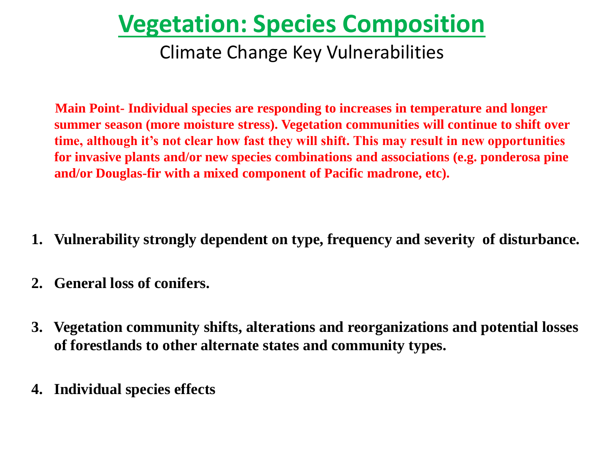# **Vegetation: Species Composition**

### Climate Change Key Vulnerabilities

 **Main Point- Individual species are responding to increases in temperature and longer summer season (more moisture stress). Vegetation communities will continue to shift over time, although it's not clear how fast they will shift. This may result in new opportunities for invasive plants and/or new species combinations and associations (e.g. ponderosa pine and/or Douglas-fir with a mixed component of Pacific madrone, etc).**

- **1. Vulnerability strongly dependent on type, frequency and severity of disturbance.**
- **2. General loss of conifers.**
- **3. Vegetation community shifts, alterations and reorganizations and potential losses of forestlands to other alternate states and community types.**
- **4. Individual species effects**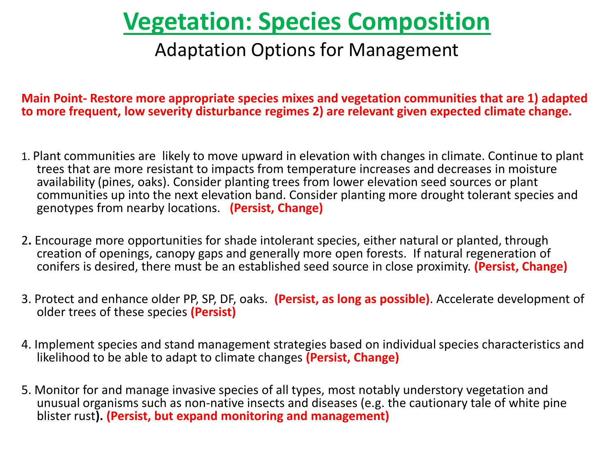# **Vegetation: Species Composition**

### Adaptation Options for Management

**Main Point- Restore more appropriate species mixes and vegetation communities that are 1) adapted to more frequent, low severity disturbance regimes 2) are relevant given expected climate change.**

- 1. Plant communities are likely to move upward in elevation with changes in climate. Continue to plant trees that are more resistant to impacts from temperature increases and decreases in moisture availability (pines, oaks). Consider planting trees from lower elevation seed sources or plant communities up into the next elevation band. Consider planting more drought tolerant species and genotypes from nearby locations. **(Persist, Change)**
- 2**.** Encourage more opportunities for shade intolerant species, either natural or planted, through creation of openings, canopy gaps and generally more open forests. If natural regeneration of conifers is desired, there must be an established seed source in close proximity. **(Persist, Change)**
- 3. Protect and enhance older PP, SP, DF, oaks. **(Persist, as long as possible)**. Accelerate development of older trees of these species **(Persist)**
- 4. Implement species and stand management strategies based on individual species characteristics and likelihood to be able to adapt to climate changes **(Persist, Change)**
- 5. Monitor for and manage invasive species of all types, most notably understory vegetation and unusual organisms such as non-native insects and diseases (e.g. the cautionary tale of white pine blister rust**). (Persist, but expand monitoring and management)**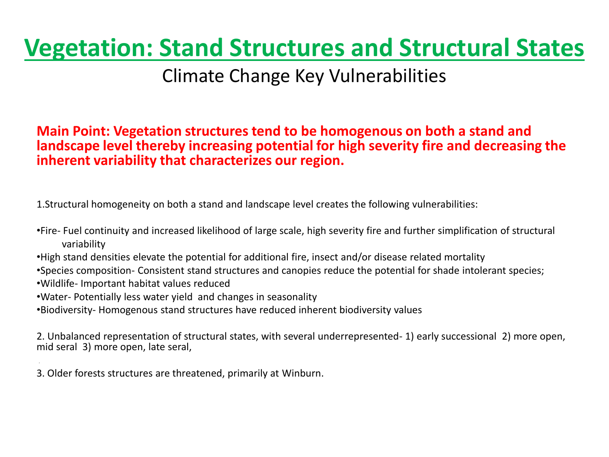# **Vegetation: Stand Structures and Structural States**

### Climate Change Key Vulnerabilities

#### **Main Point: Vegetation structures tend to be homogenous on both a stand and landscape level thereby increasing potential for high severity fire and decreasing the inherent variability that characterizes our region.**

1.Structural homogeneity on both a stand and landscape level creates the following vulnerabilities:

- •Fire- Fuel continuity and increased likelihood of large scale, high severity fire and further simplification of structural variability
- •High stand densities elevate the potential for additional fire, insect and/or disease related mortality
- •Species composition- Consistent stand structures and canopies reduce the potential for shade intolerant species;
- •Wildlife- Important habitat values reduced
- •Water- Potentially less water yield and changes in seasonality
- •Biodiversity- Homogenous stand structures have reduced inherent biodiversity values

2. Unbalanced representation of structural states, with several underrepresented- 1) early successional 2) more open, mid seral 3) more open, late seral,

3. Older forests structures are threatened, primarily at Winburn.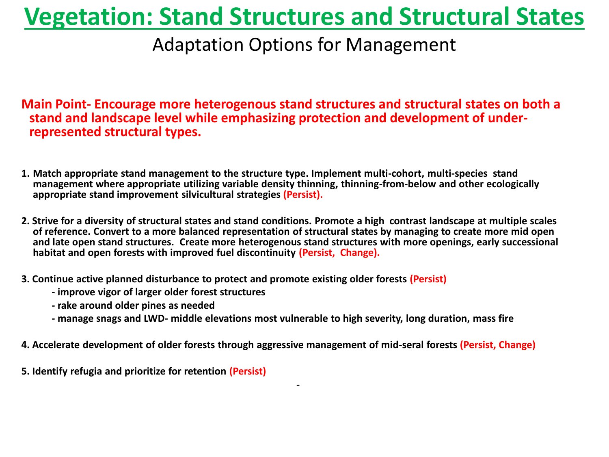# **Vegetation: Stand Structures and Structural States**

### Adaptation Options for Management

**Main Point- Encourage more heterogenous stand structures and structural states on both a stand and landscape level while emphasizing protection and development of underrepresented structural types.**

- **1. Match appropriate stand management to the structure type. Implement multi-cohort, multi-species stand management where appropriate utilizing variable density thinning, thinning-from-below and other ecologically appropriate stand improvement silvicultural strategies (Persist).**
- **2. Strive for a diversity of structural states and stand conditions. Promote a high contrast landscape at multiple scales of reference. Convert to a more balanced representation of structural states by managing to create more mid open and late open stand structures. Create more heterogenous stand structures with more openings, early successional habitat and open forests with improved fuel discontinuity (Persist, Change).**
- **3. Continue active planned disturbance to protect and promote existing older forests (Persist)** 
	- **- improve vigor of larger older forest structures**
	- **- rake around older pines as needed**
	- **- manage snags and LWD- middle elevations most vulnerable to high severity, long duration, mass fire**
- **4. Accelerate development of older forests through aggressive management of mid-seral forests (Persist, Change)**

 **-**

**5. Identify refugia and prioritize for retention (Persist)**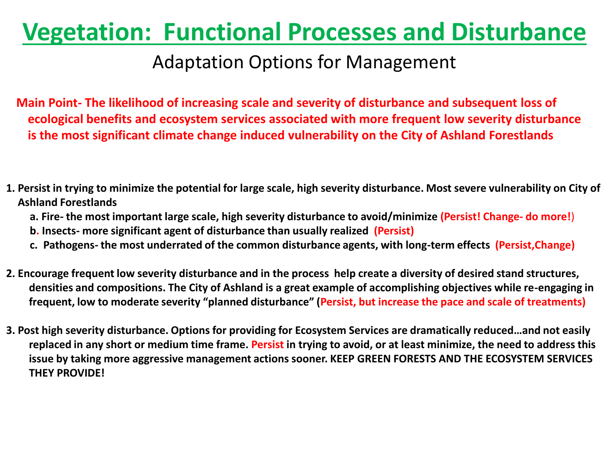### Adaptation Options for Management

**Main Point- The likelihood of increasing scale and severity of disturbance and subsequent loss of ecological benefits and ecosystem services associated with more frequent low severity disturbance is the most significant climate change induced vulnerability on the City of Ashland Forestlands**

- **1. Persist in trying to minimize the potential for large scale, high severity disturbance. Most severe vulnerability on City of Ashland Forestlands**
	- **a. Fire- the most important large scale, high severity disturbance to avoid/minimize (Persist! Change- do more!**)
	- **b. Insects- more significant agent of disturbance than usually realized (Persist)**
	- **c. Pathogens- the most underrated of the common disturbance agents, with long-term effects (Persist,Change)**
- **2. Encourage frequent low severity disturbance and in the process help create a diversity of desired stand structures, densities and compositions. The City of Ashland is a great example of accomplishing objectives while re-engaging in frequent, low to moderate severity "planned disturbance" (Persist, but increase the pace and scale of treatments)**
- **3. Post high severity disturbance. Options for providing for Ecosystem Services are dramatically reduced…and not easily replaced in any short or medium time frame. Persist in trying to avoid, or at least minimize, the need to address this issue by taking more aggressive management actions sooner. KEEP GREEN FORESTS AND THE ECOSYSTEM SERVICES THEY PROVIDE!**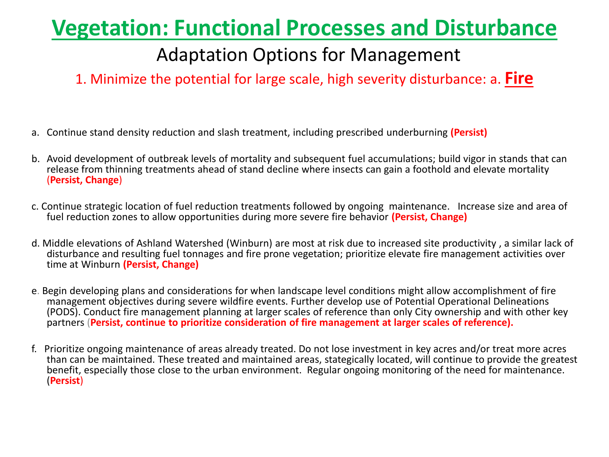### Adaptation Options for Management

1. Minimize the potential for large scale, high severity disturbance: a. **Fire**

- a. Continue stand density reduction and slash treatment, including prescribed underburning **(Persist)**
- b. Avoid development of outbreak levels of mortality and subsequent fuel accumulations; build vigor in stands that can release from thinning treatments ahead of stand decline where insects can gain a foothold and elevate mortality (**Persist, Change**)
- c. Continue strategic location of fuel reduction treatments followed by ongoing maintenance. Increase size and area of fuel reduction zones to allow opportunities during more severe fire behavior **(Persist, Change)**
- d. Middle elevations of Ashland Watershed (Winburn) are most at risk due to increased site productivity , a similar lack of disturbance and resulting fuel tonnages and fire prone vegetation; prioritize elevate fire management activities over time at Winburn **(Persist, Change)**
- e. Begin developing plans and considerations for when landscape level conditions might allow accomplishment of fire management objectives during severe wildfire events. Further develop use of Potential Operational Delineations (PODS). Conduct fire management planning at larger scales of reference than only City ownership and with other key partners (**Persist, continue to prioritize consideration of fire management at larger scales of reference).**
- f. Prioritize ongoing maintenance of areas already treated. Do not lose investment in key acres and/or treat more acres than can be maintained. These treated and maintained areas, stategically located, will continue to provide the greatest benefit, especially those close to the urban environment. Regular ongoing monitoring of the need for maintenance. (**Persist**)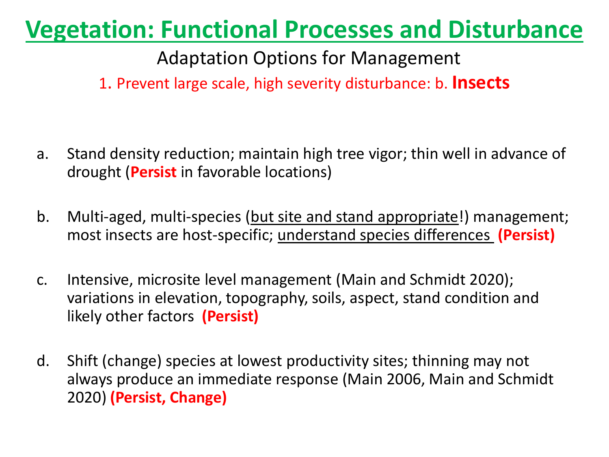Adaptation Options for Management

1. Prevent large scale, high severity disturbance: b. **Insects**

- a. Stand density reduction; maintain high tree vigor; thin well in advance of drought (**Persist** in favorable locations)
- b. Multi-aged, multi-species (but site and stand appropriate!) management; most insects are host-specific; understand species differences **(Persist)**
- c. Intensive, microsite level management (Main and Schmidt 2020); variations in elevation, topography, soils, aspect, stand condition and likely other factors **(Persist)**
- d. Shift (change) species at lowest productivity sites; thinning may not always produce an immediate response (Main 2006, Main and Schmidt 2020) **(Persist, Change)**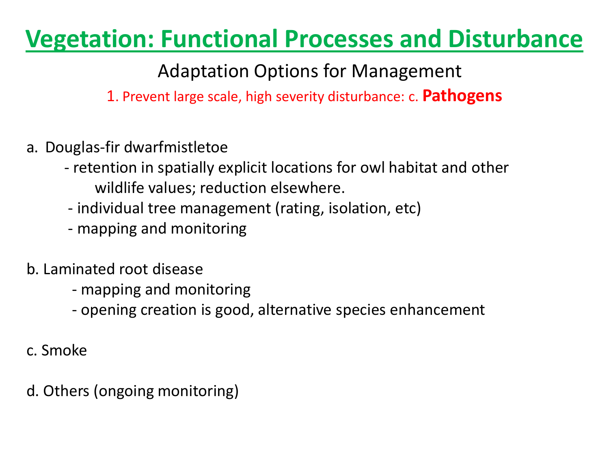Adaptation Options for Management

1. Prevent large scale, high severity disturbance: c. **Pathogens**

- a. Douglas-fir dwarfmistletoe
	- retention in spatially explicit locations for owl habitat and other wildlife values; reduction elsewhere.
	- individual tree management (rating, isolation, etc)
	- mapping and monitoring
- b. Laminated root disease
	- mapping and monitoring
	- opening creation is good, alternative species enhancement
- c. Smoke
- d. Others (ongoing monitoring)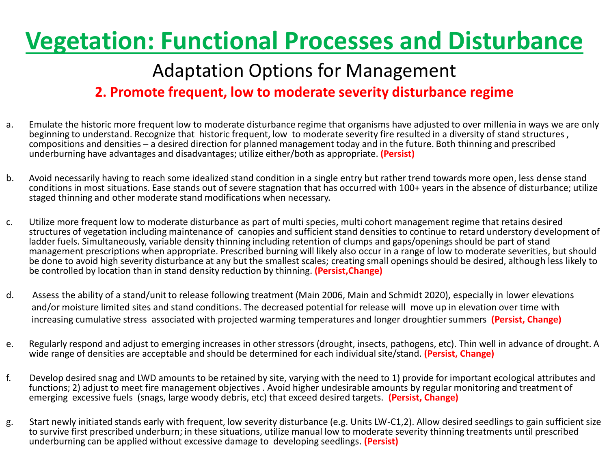### Adaptation Options for Management

#### **2. Promote frequent, low to moderate severity disturbance regime**

- a. Emulate the historic more frequent low to moderate disturbance regime that organisms have adjusted to over millenia in ways we are only beginning to understand. Recognize that historic frequent, low to moderate severity fire resulted in a diversity of stand structures , compositions and densities – a desired direction for planned management today and in the future. Both thinning and prescribed underburning have advantages and disadvantages; utilize either/both as appropriate. **(Persist)**
- b. Avoid necessarily having to reach some idealized stand condition in a single entry but rather trend towards more open, less dense stand conditions in most situations. Ease stands out of severe stagnation that has occurred with 100+ years in the absence of disturbance; utilize staged thinning and other moderate stand modifications when necessary.
- c. Utilize more frequent low to moderate disturbance as part of multi species, multi cohort management regime that retains desired structures of vegetation including maintenance of canopies and sufficient stand densities to continue to retard understory development of ladder fuels. Simultaneously, variable density thinning including retention of clumps and gaps/openings should be part of stand management prescriptions when appropriate. Prescribed burning will likely also occur in a range of low to moderate severities, but should be done to avoid high severity disturbance at any but the smallest scales; creating small openings should be desired, although less likely to be controlled by location than in stand density reduction by thinning. **(Persist,Change)**
- d. Assess the ability of a stand/unit to release following treatment (Main 2006, Main and Schmidt 2020), especially in lower elevations and/or moisture limited sites and stand conditions. The decreased potential for release will move up in elevation over time with increasing cumulative stress associated with projected warming temperatures and longer droughtier summers **(Persist, Change)**
- e. Regularly respond and adjust to emerging increases in other stressors (drought, insects, pathogens, etc). Thin well in advance of drought. A wide range of densities are acceptable and should be determined for each individual site/stand. **(Persist, Change)**
- f. Develop desired snag and LWD amounts to be retained by site, varying with the need to 1) provide for important ecological attributes and functions; 2) adjust to meet fire management objectives . Avoid higher undesirable amounts by regular monitoring and treatment of emerging excessive fuels (snags, large woody debris, etc) that exceed desired targets. **(Persist, Change)**
- g. Start newly initiated stands early with frequent, low severity disturbance (e.g. Units LW-C1,2). Allow desired seedlings to gain sufficient size to survive first prescribed underburn; in these situations, utilize manual low to moderate severity thinning treatments until prescribed underburning can be applied without excessive damage to developing seedlings. **(Persist)**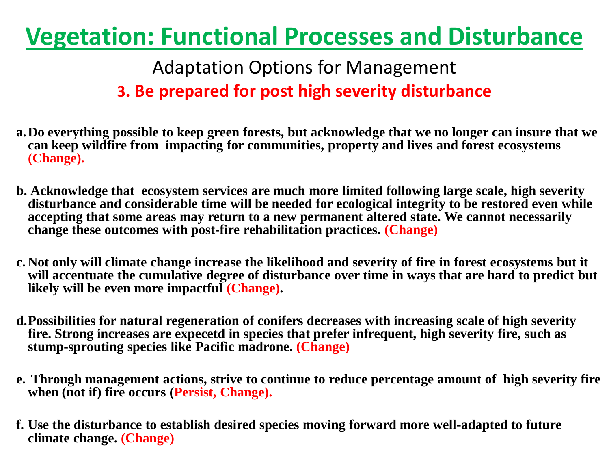Adaptation Options for Management **3. Be prepared for post high severity disturbance** 

- **a.Do everything possible to keep green forests, but acknowledge that we no longer can insure that we can keep wildfire from impacting for communities, property and lives and forest ecosystems (Change).**
- **b. Acknowledge that ecosystem services are much more limited following large scale, high severity disturbance and considerable time will be needed for ecological integrity to be restored even while accepting that some areas may return to a new permanent altered state. We cannot necessarily change these outcomes with post-fire rehabilitation practices. (Change)**
- **c. Not only will climate change increase the likelihood and severity of fire in forest ecosystems but it will accentuate the cumulative degree of disturbance over time in ways that are hard to predict but likely will be even more impactful (Change).**
- **d.Possibilities for natural regeneration of conifers decreases with increasing scale of high severity fire. Strong increases are expecetd in species that prefer infrequent, high severity fire, such as stump-sprouting species like Pacific madrone. (Change)**
- **e. Through management actions, strive to continue to reduce percentage amount of high severity fire when (not if) fire occurs (Persist, Change).**
- **f. Use the disturbance to establish desired species moving forward more well-adapted to future climate change. (Change)**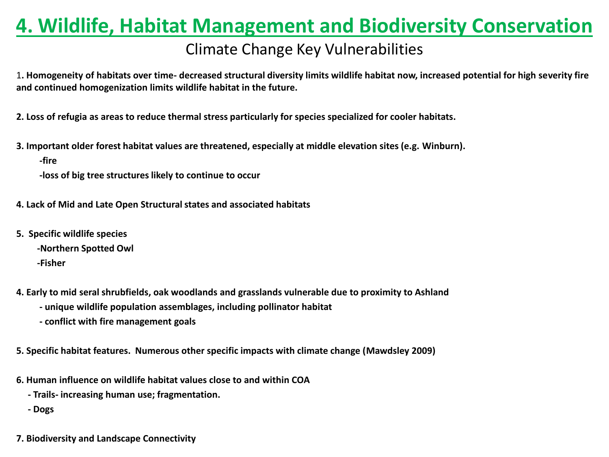## **4. Wildlife, Habitat Management and Biodiversity Conservation**

#### Climate Change Key Vulnerabilities

1**. Homogeneity of habitats over time- decreased structural diversity limits wildlife habitat now, increased potential for high severity fire and continued homogenization limits wildlife habitat in the future.** 

**2. Loss of refugia as areas to reduce thermal stress particularly for species specialized for cooler habitats.** 

**3. Important older forest habitat values are threatened, especially at middle elevation sites (e.g. Winburn).** 

 **-fire** 

 **-loss of big tree structures likely to continue to occur**

- **4. Lack of Mid and Late Open Structural states and associated habitats**
- **5. Specific wildlife species**
	- **-Northern Spotted Owl**

 **-Fisher**

- **4. Early to mid seral shrubfields, oak woodlands and grasslands vulnerable due to proximity to Ashland** 
	- **- unique wildlife population assemblages, including pollinator habitat**
	- **- conflict with fire management goals**

**5. Specific habitat features. Numerous other specific impacts with climate change (Mawdsley 2009)**

- **6. Human influence on wildlife habitat values close to and within COA**
	- **- Trails- increasing human use; fragmentation.**

 **- Dogs**

**7. Biodiversity and Landscape Connectivity**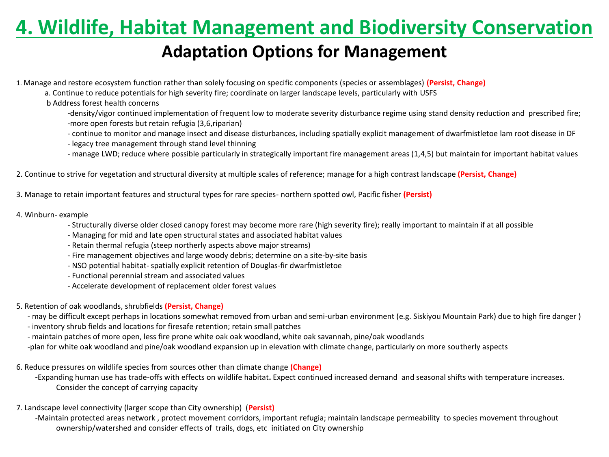### **4. Wildlife, Habitat Management and Biodiversity Conservation**

#### **Adaptation Options for Management**

1. Manage and restore ecosystem function rather than solely focusing on specific components (species or assemblages) **(Persist, Change)**

- a. Continue to reduce potentials for high severity fire; coordinate on larger landscape levels, particularly with USFS
- b Address forest health concerns

 -density/vigor continued implementation of frequent low to moderate severity disturbance regime using stand density reduction and prescribed fire; -more open forests but retain refugia (3,6,riparian)

- continue to monitor and manage insect and disease disturbances, including spatially explicit management of dwarfmistletoe lam root disease in DF
- legacy tree management through stand level thinning
- manage LWD; reduce where possible particularly in strategically important fire management areas (1,4,5) but maintain for important habitat values
- 2. Continue to strive for vegetation and structural diversity at multiple scales of reference; manage for a high contrast landscape **(Persist, Change)**
- 3. Manage to retain important features and structural types for rare species- northern spotted owl, Pacific fisher **(Persist)**
- 4. Winburn- example
	- Structurally diverse older closed canopy forest may become more rare (high severity fire); really important to maintain if at all possible
	- Managing for mid and late open structural states and associated habitat values
	- Retain thermal refugia (steep northerly aspects above major streams)
	- Fire management objectives and large woody debris; determine on a site-by-site basis
	- NSO potential habitat- spatially explicit retention of Douglas-fir dwarfmistletoe
	- Functional perennial stream and associated values
	- Accelerate development of replacement older forest values
- 5. Retention of oak woodlands, shrubfields **(Persist, Change)**
	- may be difficult except perhaps in locations somewhat removed from urban and semi-urban environment (e.g. Siskiyou Mountain Park) due to high fire danger )
	- inventory shrub fields and locations for firesafe retention; retain small patches
	- maintain patches of more open, less fire prone white oak oak woodland, white oak savannah, pine/oak woodlands
	- -plan for white oak woodland and pine/oak woodland expansion up in elevation with climate change, particularly on more southerly aspects
- 6. Reduce pressures on wildlife species from sources other than climate change **(Change)**
	- **-**Expanding human use has trade-offs with effects on wildlife habitat**.** Expect continued increased demand and seasonal shifts with temperature increases. Consider the concept of carrying capacity
- 7. Landscape level connectivity (larger scope than City ownership) (**Persist)**
	- -Maintain protected areas network , protect movement corridors, important refugia; maintain landscape permeability to species movement throughout ownership/watershed and consider effects of trails, dogs, etc initiated on City ownership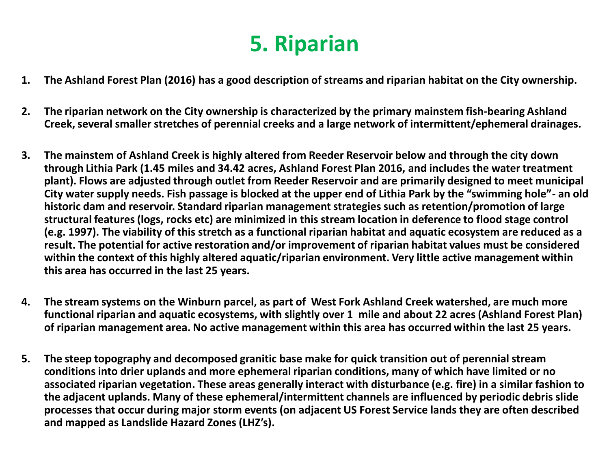## **5. Riparian**

- **1. The Ashland Forest Plan (2016) has a good description of streams and riparian habitat on the City ownership.**
- **2. The riparian network on the City ownership is characterized by the primary mainstem fish-bearing Ashland Creek, several smaller stretches of perennial creeks and a large network of intermittent/ephemeral drainages.**
- **3. The mainstem of Ashland Creek is highly altered from Reeder Reservoir below and through the city down through Lithia Park (1.45 miles and 34.42 acres, Ashland Forest Plan 2016, and includes the water treatment plant). Flows are adjusted through outlet from Reeder Reservoir and are primarily designed to meet municipal City water supply needs. Fish passage is blocked at the upper end of Lithia Park by the "swimming hole"- an old historic dam and reservoir. Standard riparian management strategies such as retention/promotion of large structural features (logs, rocks etc) are minimized in this stream location in deference to flood stage control (e.g. 1997). The viability of this stretch as a functional riparian habitat and aquatic ecosystem are reduced as a result. The potential for active restoration and/or improvement of riparian habitat values must be considered within the context of this highly altered aquatic/riparian environment. Very little active management within this area has occurred in the last 25 years.**
- **4. The stream systems on the Winburn parcel, as part of West Fork Ashland Creek watershed, are much more functional riparian and aquatic ecosystems, with slightly over 1 mile and about 22 acres (Ashland Forest Plan) of riparian management area. No active management within this area has occurred within the last 25 years.**
- **5. The steep topography and decomposed granitic base make for quick transition out of perennial stream conditions into drier uplands and more ephemeral riparian conditions, many of which have limited or no associated riparian vegetation. These areas generally interact with disturbance (e.g. fire) in a similar fashion to the adjacent uplands. Many of these ephemeral/intermittent channels are influenced by periodic debris slide processes that occur during major storm events (on adjacent US Forest Service lands they are often described and mapped as Landslide Hazard Zones (LHZ's).**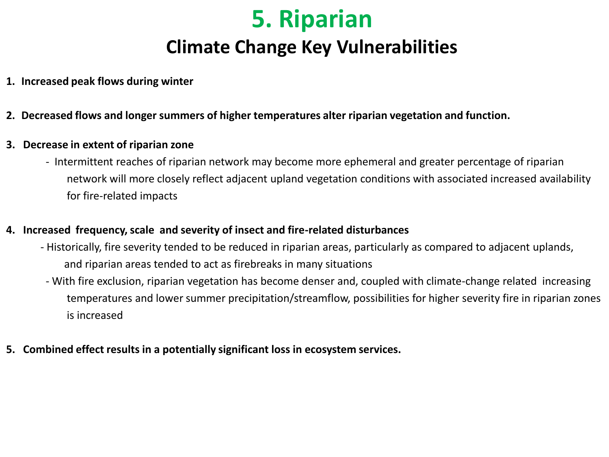## **5. Riparian Climate Change Key Vulnerabilities**

- **1. Increased peak flows during winter**
- **2. Decreased flows and longer summers of higher temperatures alter riparian vegetation and function.**
- **3. Decrease in extent of riparian zone**
	- Intermittent reaches of riparian network may become more ephemeral and greater percentage of riparian network will more closely reflect adjacent upland vegetation conditions with associated increased availability for fire-related impacts

#### **4. Increased frequency, scale and severity of insect and fire-related disturbances**

- Historically, fire severity tended to be reduced in riparian areas, particularly as compared to adjacent uplands, and riparian areas tended to act as firebreaks in many situations
- With fire exclusion, riparian vegetation has become denser and, coupled with climate-change related increasing temperatures and lower summer precipitation/streamflow, possibilities for higher severity fire in riparian zones is increased
- **5. Combined effect results in a potentially significant loss in ecosystem services.**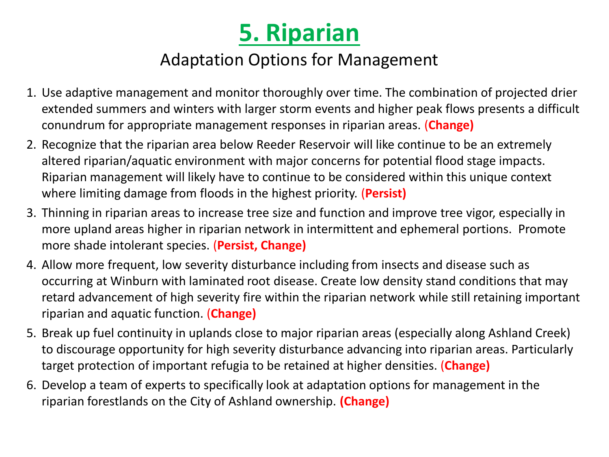

### Adaptation Options for Management

- 1. Use adaptive management and monitor thoroughly over time. The combination of projected drier extended summers and winters with larger storm events and higher peak flows presents a difficult conundrum for appropriate management responses in riparian areas. (**Change)**
- 2. Recognize that the riparian area below Reeder Reservoir will like continue to be an extremely altered riparian/aquatic environment with major concerns for potential flood stage impacts. Riparian management will likely have to continue to be considered within this unique context where limiting damage from floods in the highest priority. (**Persist)**
- 3. Thinning in riparian areas to increase tree size and function and improve tree vigor, especially in more upland areas higher in riparian network in intermittent and ephemeral portions. Promote more shade intolerant species. (**Persist, Change)**
- 4. Allow more frequent, low severity disturbance including from insects and disease such as occurring at Winburn with laminated root disease. Create low density stand conditions that may retard advancement of high severity fire within the riparian network while still retaining important riparian and aquatic function. (**Change)**
- 5. Break up fuel continuity in uplands close to major riparian areas (especially along Ashland Creek) to discourage opportunity for high severity disturbance advancing into riparian areas. Particularly target protection of important refugia to be retained at higher densities. (**Change)**
- 6. Develop a team of experts to specifically look at adaptation options for management in the riparian forestlands on the City of Ashland ownership. **(Change)**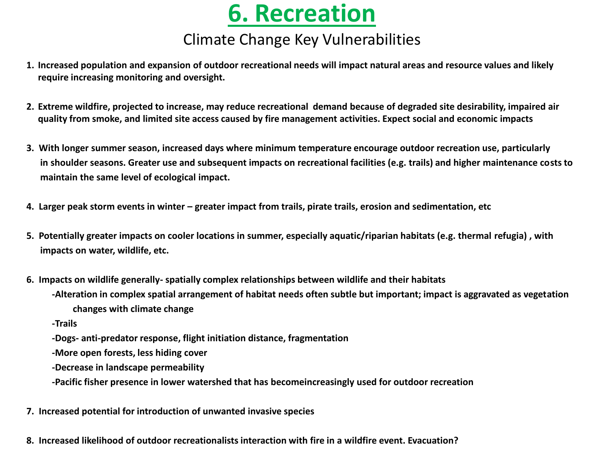## **6. Recreation**

#### Climate Change Key Vulnerabilities

- **1. Increased population and expansion of outdoor recreational needs will impact natural areas and resource values and likely require increasing monitoring and oversight.**
- **2. Extreme wildfire, projected to increase, may reduce recreational demand because of degraded site desirability, impaired air quality from smoke, and limited site access caused by fire management activities. Expect social and economic impacts**
- **3. With longer summer season, increased days where minimum temperature encourage outdoor recreation use, particularly in shoulder seasons. Greater use and subsequent impacts on recreational facilities (e.g. trails) and higher maintenance costs to maintain the same level of ecological impact.**
- **4. Larger peak storm events in winter – greater impact from trails, pirate trails, erosion and sedimentation, etc**
- **5. Potentially greater impacts on cooler locations in summer, especially aquatic/riparian habitats (e.g. thermal refugia) , with impacts on water, wildlife, etc.**
- **6. Impacts on wildlife generally- spatially complex relationships between wildlife and their habitats**
	- **-Alteration in complex spatial arrangement of habitat needs often subtle but important; impact is aggravated as vegetation changes with climate change**
	- **-Trails**
	- **-Dogs- anti-predator response, flight initiation distance, fragmentation**
	- **-More open forests, less hiding cover**
	- **-Decrease in landscape permeability**
	- **-Pacific fisher presence in lower watershed that has becomeincreasingly used for outdoor recreation**
- **7. Increased potential for introduction of unwanted invasive species**
- **8. Increased likelihood of outdoor recreationalists interaction with fire in a wildfire event. Evacuation?**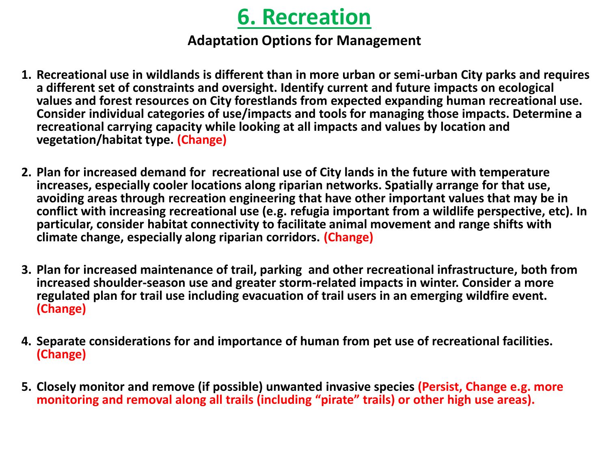## **6. Recreation**

#### **Adaptation Options for Management**

- **1. Recreational use in wildlands is different than in more urban or semi-urban City parks and requires a different set of constraints and oversight. Identify current and future impacts on ecological values and forest resources on City forestlands from expected expanding human recreational use. Consider individual categories of use/impacts and tools for managing those impacts. Determine a recreational carrying capacity while looking at all impacts and values by location and vegetation/habitat type. (Change)**
- **2. Plan for increased demand for recreational use of City lands in the future with temperature increases, especially cooler locations along riparian networks. Spatially arrange for that use, avoiding areas through recreation engineering that have other important values that may be in conflict with increasing recreational use (e.g. refugia important from a wildlife perspective, etc). In particular, consider habitat connectivity to facilitate animal movement and range shifts with climate change, especially along riparian corridors. (Change)**
- **3. Plan for increased maintenance of trail, parking and other recreational infrastructure, both from increased shoulder-season use and greater storm-related impacts in winter. Consider a more regulated plan for trail use including evacuation of trail users in an emerging wildfire event. (Change)**
- **4. Separate considerations for and importance of human from pet use of recreational facilities. (Change)**
- **5. Closely monitor and remove (if possible) unwanted invasive species (Persist, Change e.g. more monitoring and removal along all trails (including "pirate" trails) or other high use areas).**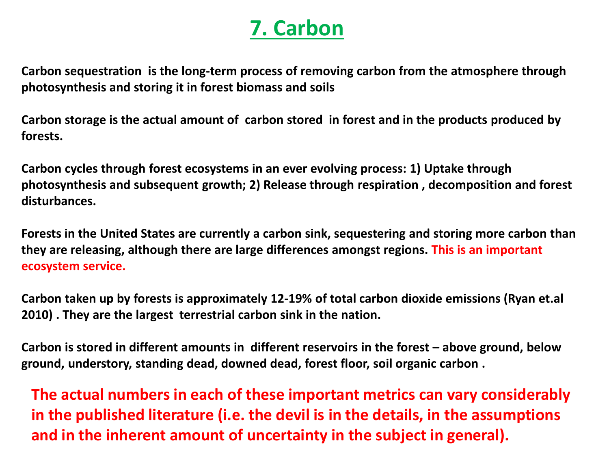## **7. Carbon**

**Carbon sequestration is the long-term process of removing carbon from the atmosphere through photosynthesis and storing it in forest biomass and soils**

**Carbon storage is the actual amount of carbon stored in forest and in the products produced by forests.**

**Carbon cycles through forest ecosystems in an ever evolving process: 1) Uptake through photosynthesis and subsequent growth; 2) Release through respiration , decomposition and forest disturbances.**

**Forests in the United States are currently a carbon sink, sequestering and storing more carbon than they are releasing, although there are large differences amongst regions. This is an important ecosystem service.**

**Carbon taken up by forests is approximately 12-19% of total carbon dioxide emissions (Ryan et.al 2010) . They are the largest terrestrial carbon sink in the nation.** 

**Carbon is stored in different amounts in different reservoirs in the forest – above ground, below ground, understory, standing dead, downed dead, forest floor, soil organic carbon .**

**The actual numbers in each of these important metrics can vary considerably in the published literature (i.e. the devil is in the details, in the assumptions and in the inherent amount of uncertainty in the subject in general).**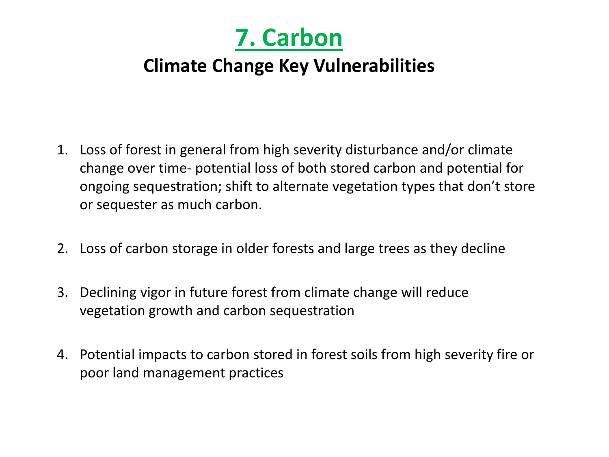

### **Climate Change Key Vulnerabilities**

- 1. Loss of forest in general from high severity disturbance and/or climate change over time- potential loss of both stored carbon and potential for ongoing sequestration; shift to alternate vegetation types that don't store or sequester as much carbon.
- 2. Loss of carbon storage in older forests and large trees as they decline
- 3. Declining vigor in future forest from climate change will reduce vegetation growth and carbon sequestration
- 4. Potential impacts to carbon stored in forest soils from high severity fire or poor land management practices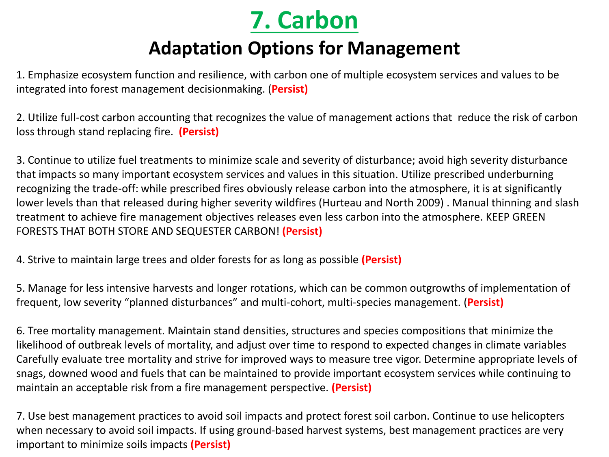

### **Adaptation Options for Management**

1. Emphasize ecosystem function and resilience, with carbon one of multiple ecosystem services and values to be integrated into forest management decisionmaking. (**Persist)**

2. Utilize full-cost carbon accounting that recognizes the value of management actions that reduce the risk of carbon loss through stand replacing fire. **(Persist)**

3. Continue to utilize fuel treatments to minimize scale and severity of disturbance; avoid high severity disturbance that impacts so many important ecosystem services and values in this situation. Utilize prescribed underburning recognizing the trade-off: while prescribed fires obviously release carbon into the atmosphere, it is at significantly lower levels than that released during higher severity wildfires (Hurteau and North 2009) . Manual thinning and slash treatment to achieve fire management objectives releases even less carbon into the atmosphere. KEEP GREEN FORESTS THAT BOTH STORE AND SEQUESTER CARBON! **(Persist)**

4. Strive to maintain large trees and older forests for as long as possible **(Persist)**

5. Manage for less intensive harvests and longer rotations, which can be common outgrowths of implementation of frequent, low severity "planned disturbances" and multi-cohort, multi-species management. (**Persist)**

6. Tree mortality management. Maintain stand densities, structures and species compositions that minimize the likelihood of outbreak levels of mortality, and adjust over time to respond to expected changes in climate variables Carefully evaluate tree mortality and strive for improved ways to measure tree vigor. Determine appropriate levels of snags, downed wood and fuels that can be maintained to provide important ecosystem services while continuing to maintain an acceptable risk from a fire management perspective. **(Persist)**

7. Use best management practices to avoid soil impacts and protect forest soil carbon. Continue to use helicopters when necessary to avoid soil impacts. If using ground-based harvest systems, best management practices are very important to minimize soils impacts **(Persist)**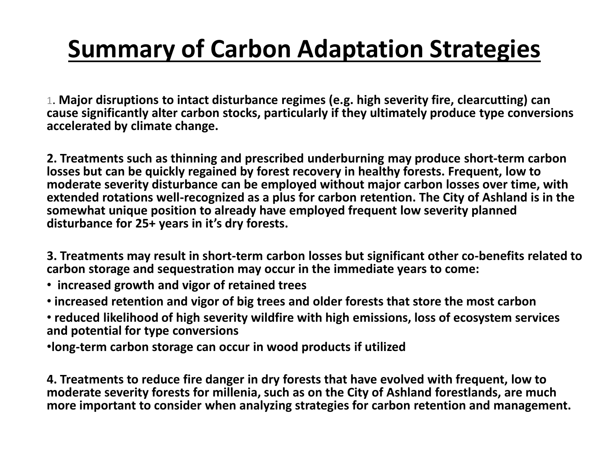# **Summary of Carbon Adaptation Strategies**

1. **Major disruptions to intact disturbance regimes (e.g. high severity fire, clearcutting) can cause significantly alter carbon stocks, particularly if they ultimately produce type conversions accelerated by climate change.** 

**2. Treatments such as thinning and prescribed underburning may produce short-term carbon losses but can be quickly regained by forest recovery in healthy forests. Frequent, low to moderate severity disturbance can be employed without major carbon losses over time, with extended rotations well-recognized as a plus for carbon retention. The City of Ashland is in the somewhat unique position to already have employed frequent low severity planned disturbance for 25+ years in it's dry forests.** 

**3. Treatments may result in short-term carbon losses but significant other co-benefits related to carbon storage and sequestration may occur in the immediate years to come:**

- **increased growth and vigor of retained trees**
- **increased retention and vigor of big trees and older forests that store the most carbon**
- **reduced likelihood of high severity wildfire with high emissions, loss of ecosystem services and potential for type conversions**
- •**long-term carbon storage can occur in wood products if utilized**

**4. Treatments to reduce fire danger in dry forests that have evolved with frequent, low to moderate severity forests for millenia, such as on the City of Ashland forestlands, are much more important to consider when analyzing strategies for carbon retention and management.**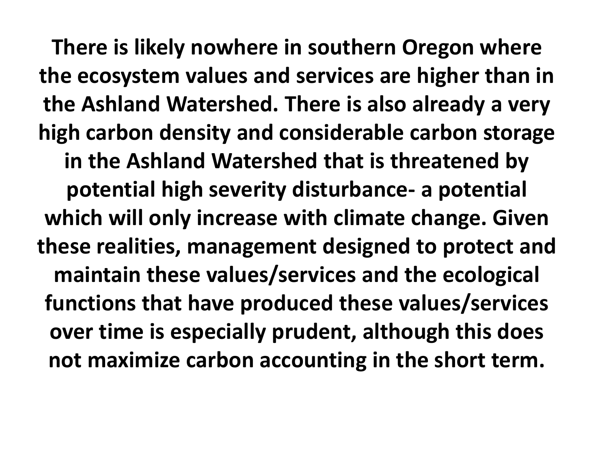**There is likely nowhere in southern Oregon where the ecosystem values and services are higher than in the Ashland Watershed. There is also already a very high carbon density and considerable carbon storage in the Ashland Watershed that is threatened by potential high severity disturbance- a potential which will only increase with climate change. Given these realities, management designed to protect and maintain these values/services and the ecological functions that have produced these values/services over time is especially prudent, although this does not maximize carbon accounting in the short term.**